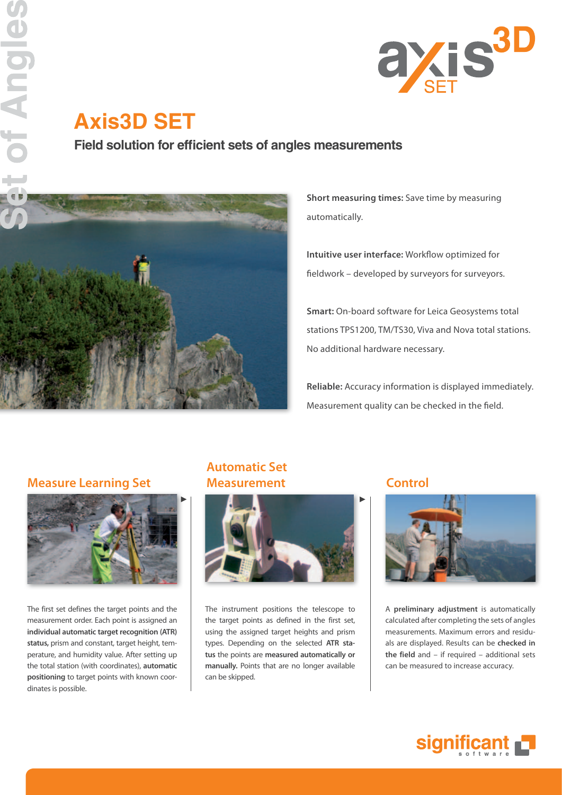

# **Axis3D SET**

**Field solution for efficient sets of angles measurements** 



**Short measuring times:** Save time by measuring automatically.

**Intuitive user interface:** Workflow optimized for fieldwork – developed by surveyors for surveyors.

**Smart:** On-board software for Leica Geosystems total stations TPS1200, TM/TS30, Viva and Nova total stations. No additional hardware necessary.

**Reliable:** Accuracy information is displayed immediately. Measurement quality can be checked in the field.

### **Measure Learning Set**



The first set defines the target points and the measurement order. Each point is assigned an **individual automatic target recognition (ATR) status,** prism and constant, target height, temperature, and humidity value. After setting up the total station (with coordinates), **automatic positioning** to target points with known coordinates is possible.

### **Automatic Set Measurement** Control



The instrument positions the telescope to the target points as defined in the first set, using the assigned target heights and prism types. Depending on the selected **ATR status** the points are **measured automatically or manually.** Points that are no longer available can be skipped.



A **preliminary adjustment** is automatically calculated after completing the sets of angles measurements. Maximum errors and residuals are displayed. Results can be **checked in the field** and – if required – additional sets can be measured to increase accuracy.